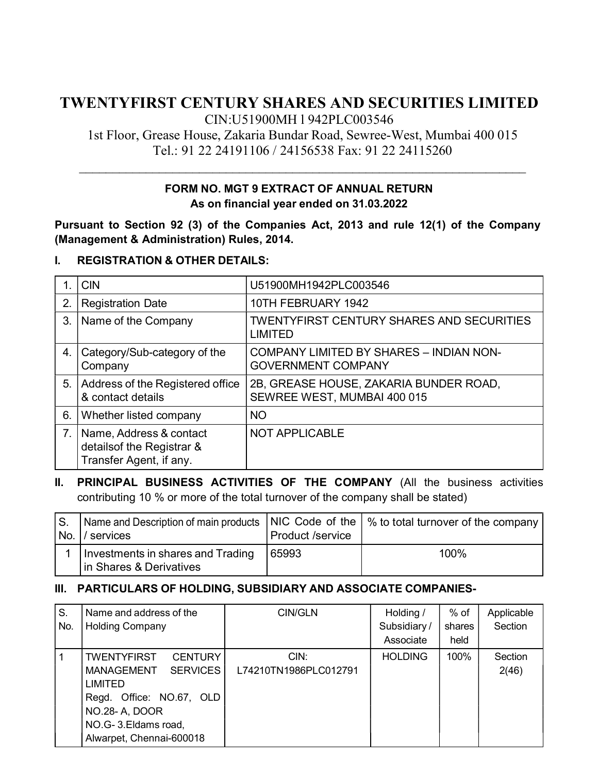# TWENTYFIRST CENTURY SHARES AND SECURITIES LIMITED

CIN:U51900MH l 942PLC003546

1st Floor, Grease House, Zakaria Bundar Road, Sewree-West, Mumbai 400 015 Tel.: 91 22 24191106 / 24156538 Fax: 91 22 24115260

 $\mathcal{L}_\text{max}$  , and the contribution of the contribution of the contribution of the contribution of the contribution of the contribution of the contribution of the contribution of the contribution of the contribution of t

#### FORM NO. MGT 9 EXTRACT OF ANNUAL RETURN As on financial year ended on 31.03.2022

Pursuant to Section 92 (3) of the Companies Act, 2013 and rule 12(1) of the Company (Management & Administration) Rules, 2014.

#### I. REGISTRATION & OTHER DETAILS:

|                | <b>CIN</b>                                                                       | U51900MH1942PLC003546                                                 |
|----------------|----------------------------------------------------------------------------------|-----------------------------------------------------------------------|
| 2.             | <b>Registration Date</b>                                                         | 10TH FEBRUARY 1942                                                    |
| 3.             | Name of the Company                                                              | <b>TWENTYFIRST CENTURY SHARES AND SECURITIES</b><br><b>LIMITED</b>    |
| 4.             | Category/Sub-category of the<br>Company                                          | COMPANY LIMITED BY SHARES - INDIAN NON-<br><b>GOVERNMENT COMPANY</b>  |
| 5.             | Address of the Registered office<br>& contact details                            | 2B, GREASE HOUSE, ZAKARIA BUNDER ROAD,<br>SEWREE WEST, MUMBAI 400 015 |
| 6.             | Whether listed company                                                           | <b>NO</b>                                                             |
| 7 <sub>1</sub> | Name, Address & contact<br>details of the Registrar &<br>Transfer Agent, if any. | <b>NOT APPLICABLE</b>                                                 |

#### II. PRINCIPAL BUSINESS ACTIVITIES OF THE COMPANY (All the business activities contributing 10 % or more of the total turnover of the company shall be stated)

| IS.<br>No. I | Name and Description of main products $\,$ NIC Code of the $\,$ % to total turnover of the company $\,$<br><i>V</i> services | Product /service |      |
|--------------|------------------------------------------------------------------------------------------------------------------------------|------------------|------|
|              | Investments in shares and Trading<br>In Shares & Derivatives                                                                 | 65993            | 100% |

#### III. PARTICULARS OF HOLDING, SUBSIDIARY AND ASSOCIATE COMPANIES-

| S.<br>No. | Name and address of the<br><b>Holding Company</b>                                                                                                                                               | CIN/GLN                       | Holding /<br>Subsidiary/<br>Associate | $%$ of<br>shares<br>held | Applicable<br>Section |
|-----------|-------------------------------------------------------------------------------------------------------------------------------------------------------------------------------------------------|-------------------------------|---------------------------------------|--------------------------|-----------------------|
|           | <b>CENTURY</b><br><b>TWENTYFIRST</b><br><b>SERVICES</b><br><b>MANAGEMENT</b><br><b>LIMITED</b><br>Regd. Office: NO.67, OLD<br>NO.28- A, DOOR<br>NO.G-3.Eldams road,<br>Alwarpet, Chennai-600018 | CIN:<br>L74210TN1986PLC012791 | <b>HOLDING</b>                        | 100%                     | Section<br>2(46)      |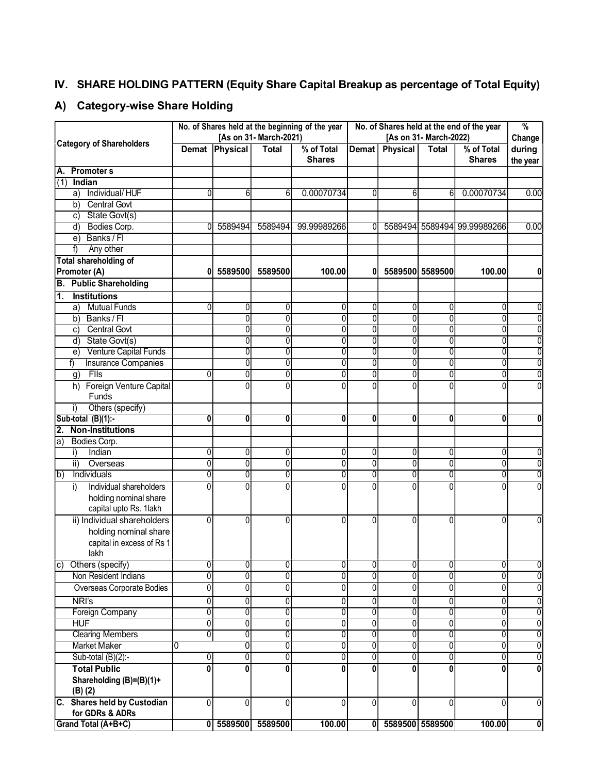### IV. SHARE HOLDING PATTERN (Equity Share Capital Breakup as percentage of Total Equity)

### A) Category-wise Share Holding

|                                                                | No. of Shares held at the beginning of the year<br>[As on 31- March-2021) |                   |              |                             | No. of Shares held at the end of the year<br>[As on 31- March-2022) |                   |                    | $\frac{9}{6}$<br>Change     |                    |
|----------------------------------------------------------------|---------------------------------------------------------------------------|-------------------|--------------|-----------------------------|---------------------------------------------------------------------|-------------------|--------------------|-----------------------------|--------------------|
| <b>Category of Shareholders</b>                                |                                                                           | Demat Physical    | <b>Total</b> | % of Total<br><b>Shares</b> | Demat                                                               | Physical          | <b>Total</b>       | % of Total<br><b>Shares</b> | during<br>the year |
| A.<br><b>Promoters</b>                                         |                                                                           |                   |              |                             |                                                                     |                   |                    |                             |                    |
| (1)<br>Indian                                                  |                                                                           |                   |              |                             |                                                                     |                   |                    |                             |                    |
| a) Individual/HUF                                              |                                                                           | հ                 |              | 0.00070734                  | ΩI                                                                  |                   | 61                 | 0.00070734                  | 0.00               |
| b) Central Govt                                                |                                                                           |                   |              |                             |                                                                     |                   |                    |                             |                    |
| c) State Govt(s)                                               |                                                                           |                   |              |                             |                                                                     |                   |                    |                             |                    |
| d) Bodies Corp.                                                |                                                                           | 5589494           | 5589494      | 99.99989266                 |                                                                     |                   |                    | 5589494 5589494 99.99989266 | 0.00               |
| Banks / Fl<br>e)                                               |                                                                           |                   |              |                             |                                                                     |                   |                    |                             |                    |
| f)<br>Any other                                                |                                                                           |                   |              |                             |                                                                     |                   |                    |                             |                    |
| Total shareholding of                                          |                                                                           |                   |              |                             |                                                                     |                   |                    |                             |                    |
| <b>Promoter (A)</b>                                            | 01                                                                        | 5589500           | 5589500      | 100.00                      | 01                                                                  |                   | 5589500 5589500    | 100.00                      |                    |
| <b>B.</b> Public Shareholding                                  |                                                                           |                   |              |                             |                                                                     |                   |                    |                             |                    |
| <b>Institutions</b><br>1.                                      |                                                                           |                   |              |                             |                                                                     |                   |                    |                             |                    |
| a) Mutual Funds                                                |                                                                           | 0                 | 01           | 0                           | $\Omega$                                                            | $\Omega$          | O                  | 0                           |                    |
| b) Banks / Fl                                                  |                                                                           | ŋ                 | 0l           | $\mathbf{0}$                | $\Omega$                                                            | $\Omega$          | 0                  | O                           |                    |
| c) Central Govt                                                |                                                                           | ŋ                 | 0l           | $\Omega$                    | $\Omega$                                                            | $\Omega$          | 01                 | 0                           |                    |
| d) State Govt(s)                                               |                                                                           |                   | $\Omega$     | $\Omega$                    | n                                                                   |                   | Ωl                 | 0                           |                    |
| e) Venture Capital Funds                                       |                                                                           |                   | 0            | $\Omega$                    | U                                                                   |                   | N                  |                             |                    |
| Insurance Companies<br>f)                                      |                                                                           |                   | 0            | $\Omega$                    |                                                                     |                   |                    |                             |                    |
| $g)$ Fils                                                      |                                                                           | N                 | O            | $\mathbf{0}$                |                                                                     |                   |                    |                             |                    |
| h) Foreign Venture Capital                                     |                                                                           | U                 | O            | $\Omega$                    |                                                                     |                   |                    |                             |                    |
| Funds                                                          |                                                                           |                   |              |                             |                                                                     |                   |                    |                             |                    |
| Others (specify)<br>i)                                         |                                                                           |                   |              |                             |                                                                     |                   |                    |                             |                    |
| Sub-total (B)(1):-                                             | $\mathbf{0}$                                                              | 01                | 01           | 0                           | 01                                                                  | 0                 | 01                 | 0                           | n                  |
| <b>Non-Institutions</b><br>2.                                  |                                                                           |                   |              |                             |                                                                     |                   |                    |                             |                    |
| la)<br>Bodies Corp.                                            |                                                                           |                   |              |                             |                                                                     |                   |                    |                             |                    |
| Indian<br>i)                                                   | U                                                                         | $\Omega$          | 0            | $\Omega$                    | $\Omega$                                                            | $\Omega$          | 01                 | 0                           |                    |
| ii) Overseas                                                   |                                                                           | ŋ                 | 01           | $\overline{0}$              | $\Omega$                                                            | U                 | 0                  | $\Omega$                    | Ŋ                  |
| Individuals<br>lb)                                             |                                                                           | $\Omega$          | 0l           | $\overline{0}$              | $\Omega$                                                            | $\Omega$          | 0                  | $\Omega$                    | $\Omega$           |
| Individual shareholders<br>i)                                  |                                                                           |                   | $\Omega$     | $\Omega$                    | <sup>n</sup>                                                        |                   |                    |                             | U                  |
| holding nominal share                                          |                                                                           |                   |              |                             |                                                                     |                   |                    |                             |                    |
| capital upto Rs. 1lakh                                         |                                                                           |                   |              |                             |                                                                     |                   |                    |                             |                    |
| ii) Individual shareholders                                    | U                                                                         | 0                 | $\Omega$     | $\Omega$                    | $\Omega$                                                            | $\Omega$          | <sup>0</sup>       | $\Omega$                    |                    |
| holding nominal share                                          |                                                                           |                   |              |                             |                                                                     |                   |                    |                             |                    |
| capital in excess of Rs 1                                      |                                                                           |                   |              |                             |                                                                     |                   |                    |                             |                    |
| lakh                                                           |                                                                           |                   |              |                             |                                                                     |                   |                    |                             |                    |
| c) Others (specify)                                            | 01                                                                        | $\overline{0}$    | 0            | $\mathbf{0}$                | 01                                                                  | $\overline{0}$    | 0                  | $\overline{0}$              | 0                  |
| Non Resident Indians                                           |                                                                           | $\Omega$          | 0            | $\Omega$                    | $\Omega$                                                            | $\Omega$          | 0                  | $\overline{0}$              | 0                  |
| Overseas Corporate Bodies                                      |                                                                           | $\mathbf{0}$      | 0            | $\Omega$                    | $\Omega$                                                            |                   | $\overline{0}$     | 0                           | 0                  |
| NRI's                                                          | N                                                                         | 0                 | 0            | $\Omega$                    | $\Omega$                                                            | $\Omega$          | 0                  | $\overline{0}$              | $\mathbf 0$        |
| Foreign Company                                                | 0                                                                         | 0                 | 0            | 01                          | $\Omega$                                                            | $\Omega$          | $\overline{\circ}$ | $\overline{0}$              | 0                  |
| <b>HUF</b>                                                     | 0                                                                         | $\overline{0}$    | 0            | $\Omega$                    | $\Omega$                                                            | $\Omega$          | 0                  | $\overline{0}$              | $\overline{0}$     |
| <b>Clearing Members</b>                                        | $\Omega$                                                                  | 0                 | 0            | 0                           | $\Omega$                                                            | <sup>0</sup>      | 0                  | $\overline{0}$              | 0                  |
| <b>Market Maker</b>                                            | 10                                                                        | 0                 | 0            | 0                           | $\Omega$                                                            | $\Omega$          | $\overline{0}$     | 0                           | $\overline{0}$     |
| Sub-total $(B)(2)$ :-                                          | 0                                                                         | 0                 | 0            |                             | $\Omega$                                                            | $\Omega$          | $\overline{0}$     | $\overline{0}$              | 0                  |
|                                                                |                                                                           |                   |              |                             | U                                                                   |                   |                    |                             |                    |
| <b>Total Public</b><br>Shareholding (B)=(B)(1)+<br>$(B)$ $(2)$ | Û                                                                         | $\Omega$          | ٥I           | n                           |                                                                     | U                 | Û                  | U                           | $\mathbf{0}$       |
| C. Shares held by Custodian<br>for GDRs & ADRs                 | $\Omega$                                                                  | $\Omega$          | 0l           | $\mathbf{0}$                | $\Omega$                                                            | $\overline{0}$    | $\overline{0}$     | $\mathbf{0}$                | 0                  |
| Grand Total (A+B+C)                                            |                                                                           | 0 5589500 5589500 |              | 100.00                      |                                                                     | 0 5589500 5589500 |                    | 100.00                      | $\bullet$          |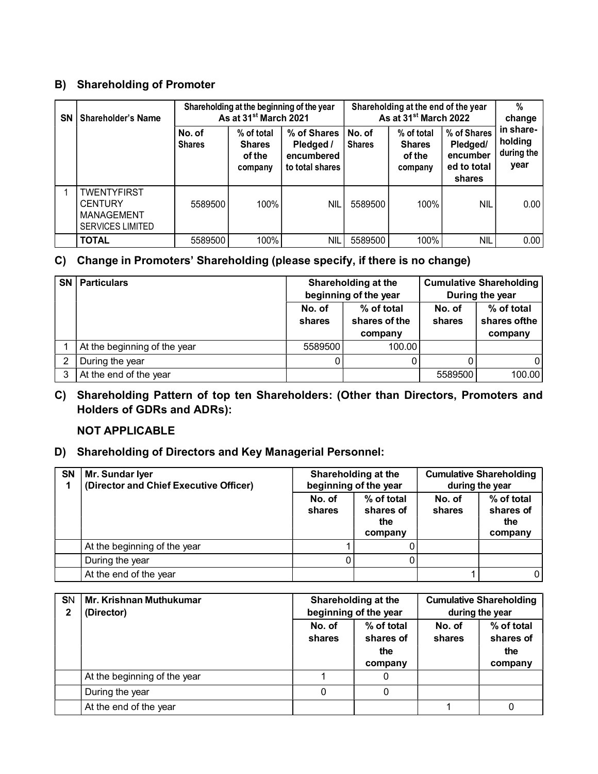#### B) Shareholding of Promoter

| <b>SN</b> | <b>Shareholder's Name</b>                                                     | Shareholding at the beginning of the year<br>As at 31 <sup>st</sup> March 2021 |                                                  |                                                             | Shareholding at the end of the year<br>As at 31 <sup>st</sup> March 2022 |                                                  |                                                              | %<br>change                                |
|-----------|-------------------------------------------------------------------------------|--------------------------------------------------------------------------------|--------------------------------------------------|-------------------------------------------------------------|--------------------------------------------------------------------------|--------------------------------------------------|--------------------------------------------------------------|--------------------------------------------|
|           |                                                                               | No. of<br><b>Shares</b>                                                        | % of total<br><b>Shares</b><br>of the<br>company | % of Shares  <br>Pledged /<br>encumbered<br>to total shares | l No. of<br><b>Shares</b>                                                | % of total<br><b>Shares</b><br>of the<br>company | % of Shares<br>Pledged/<br>encumber<br>ed to total<br>shares | in share-<br>holding<br>during the<br>year |
|           | <b>TWENTYFIRST</b><br><b>CENTURY</b><br>MANAGEMENT<br><b>SERVICES LIMITED</b> | 5589500                                                                        | 100%                                             | <b>NIL</b>                                                  | 5589500                                                                  | 100%                                             | <b>NIL</b>                                                   | 0.00                                       |
|           | <b>TOTAL</b>                                                                  | 5589500                                                                        | 100%                                             | <b>NIL</b>                                                  | 5589500                                                                  | 100%                                             | <b>NIL</b>                                                   | 0.00                                       |

#### C) Change in Promoters' Shareholding (please specify, if there is no change)

| <b>SN   Particulars</b>      |                  | Shareholding at the<br>beginning of the year | <b>Cumulative Shareholding</b><br>During the year |                                        |  |
|------------------------------|------------------|----------------------------------------------|---------------------------------------------------|----------------------------------------|--|
|                              | No. of<br>shares | % of total<br>shares of the<br>company       | No. of<br>shares                                  | % of total<br>shares of the<br>company |  |
| At the beginning of the year | 5589500          | 100.00                                       |                                                   |                                        |  |
| During the year              |                  |                                              |                                                   |                                        |  |
| At the end of the year       |                  |                                              | 5589500                                           | 100.00                                 |  |

C) Shareholding Pattern of top ten Shareholders: (Other than Directors, Promoters and Holders of GDRs and ADRs):

#### NOT APPLICABLE

#### D) Shareholding of Directors and Key Managerial Personnel:

| SN | Mr. Sundar Iyer<br>(Director and Chief Executive Officer) |                  | Shareholding at the<br>beginning of the year | <b>Cumulative Shareholding</b><br>during the year |                                           |  |
|----|-----------------------------------------------------------|------------------|----------------------------------------------|---------------------------------------------------|-------------------------------------------|--|
|    |                                                           | No. of<br>shares | % of total<br>shares of<br>the<br>company    | No. of<br>shares                                  | % of total<br>shares of<br>the<br>company |  |
|    | At the beginning of the year                              |                  |                                              |                                                   |                                           |  |
|    | During the year                                           |                  |                                              |                                                   |                                           |  |
|    | At the end of the year                                    |                  |                                              |                                                   |                                           |  |

| <b>SN</b> | Mr. Krishnan Muthukumar<br>(Director) | Shareholding at the<br>beginning of the year<br>% of total<br>No. of<br>shares of<br>shares<br>the<br>company |   | <b>Cumulative Shareholding</b><br>during the year |                                           |  |
|-----------|---------------------------------------|---------------------------------------------------------------------------------------------------------------|---|---------------------------------------------------|-------------------------------------------|--|
|           |                                       |                                                                                                               |   | No. of<br>shares                                  | % of total<br>shares of<br>the<br>company |  |
|           | At the beginning of the year          |                                                                                                               | 0 |                                                   |                                           |  |
|           | During the year                       |                                                                                                               |   |                                                   |                                           |  |
|           | At the end of the year                |                                                                                                               |   |                                                   |                                           |  |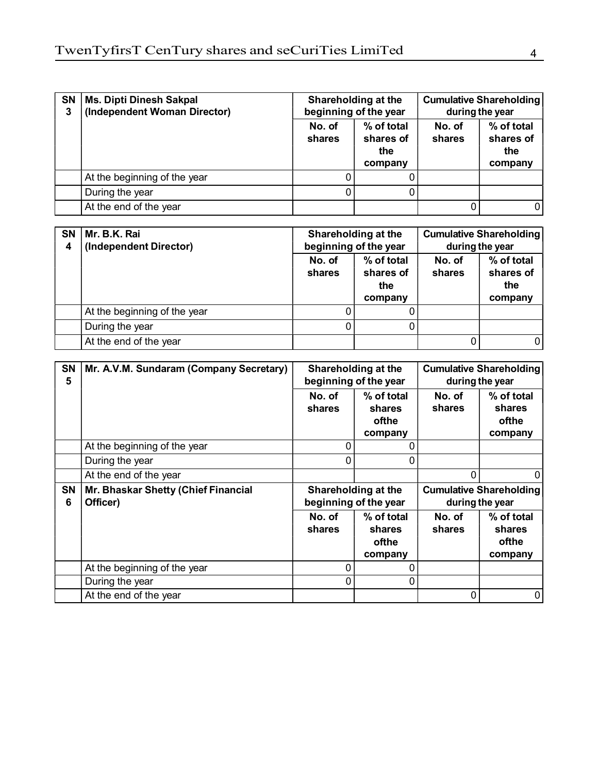| <b>SN</b> | Ms. Dipti Dinesh Sakpal<br>(Independent Woman Director) |                                                               | Shareholding at the<br>beginning of the year | <b>Cumulative Shareholding</b><br>during the year |                                           |  |
|-----------|---------------------------------------------------------|---------------------------------------------------------------|----------------------------------------------|---------------------------------------------------|-------------------------------------------|--|
|           |                                                         | % of total<br>No. of<br>shares of<br>shares<br>the<br>company |                                              | No. of<br>shares                                  | % of total<br>shares of<br>the<br>company |  |
|           | At the beginning of the year                            |                                                               |                                              |                                                   |                                           |  |
|           | During the year                                         |                                                               |                                              |                                                   |                                           |  |
|           | At the end of the year                                  |                                                               |                                              |                                                   |                                           |  |

| SN<br>4 | Mr. B.K. Rai<br>(Independent Director) |                                                               | Shareholding at the<br>beginning of the year | <b>Cumulative Shareholding</b><br>during the year |                                           |  |
|---------|----------------------------------------|---------------------------------------------------------------|----------------------------------------------|---------------------------------------------------|-------------------------------------------|--|
|         |                                        | % of total<br>No. of<br>shares of<br>shares<br>the<br>company |                                              | No. of<br>shares                                  | % of total<br>shares of<br>the<br>company |  |
|         | At the beginning of the year           |                                                               | ΩI                                           |                                                   |                                           |  |
|         | During the year                        |                                                               |                                              |                                                   |                                           |  |
|         | At the end of the year                 |                                                               |                                              |                                                   |                                           |  |

| <b>SN</b><br>5 | Mr. A.V.M. Sundaram (Company Secretary)         |                                              | Shareholding at the<br>beginning of the year | <b>Cumulative Shareholding</b><br>during the year |                                          |  |
|----------------|-------------------------------------------------|----------------------------------------------|----------------------------------------------|---------------------------------------------------|------------------------------------------|--|
|                |                                                 | No. of<br>shares                             | % of total<br>shares<br>ofthe<br>company     | No. of<br>shares                                  | % of total<br>shares<br>ofthe<br>company |  |
|                | At the beginning of the year                    |                                              |                                              |                                                   |                                          |  |
|                | During the year                                 | 0                                            | 0                                            |                                                   |                                          |  |
|                | At the end of the year                          |                                              |                                              | 0                                                 |                                          |  |
|                |                                                 | Shareholding at the<br>beginning of the year |                                              | <b>Cumulative Shareholding</b><br>during the year |                                          |  |
| <b>SN</b><br>6 | Mr. Bhaskar Shetty (Chief Financial<br>Officer) |                                              |                                              |                                                   |                                          |  |
|                |                                                 | No. of<br>shares                             | % of total<br>shares<br>ofthe<br>company     | No. of<br>shares                                  | % of total<br>shares<br>ofthe<br>company |  |
|                | At the beginning of the year                    |                                              |                                              |                                                   |                                          |  |
|                | During the year                                 | 0                                            | 0                                            |                                                   |                                          |  |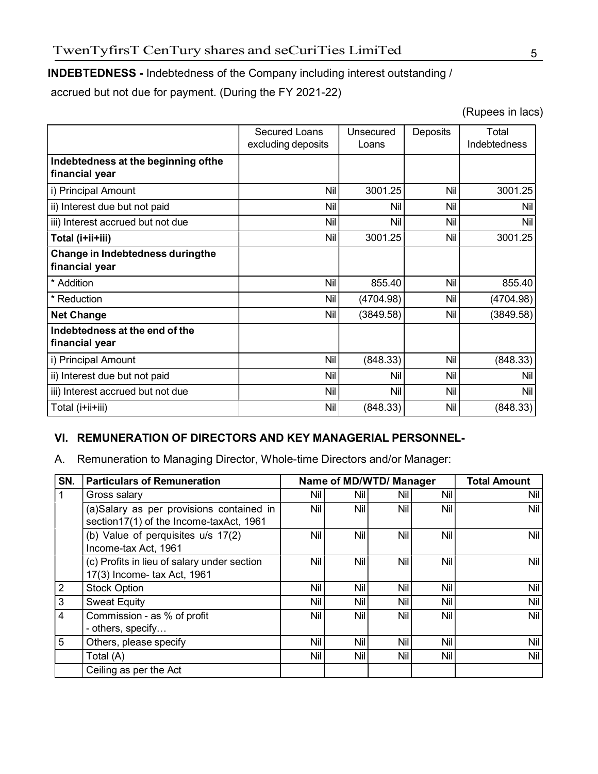#### INDEBTEDNESS - Indebtedness of the Company including interest outstanding /

accrued but not due for payment. (During the FY 2021-22)

(Rupees in lacs)

|                                                        | Secured Loans<br>excluding deposits | Unsecured<br>Loans | Deposits | Total<br>Indebtedness |
|--------------------------------------------------------|-------------------------------------|--------------------|----------|-----------------------|
| Indebtedness at the beginning of the<br>financial year |                                     |                    |          |                       |
| i) Principal Amount                                    | Nil                                 | 3001.25            | Nil      | 3001.25               |
| ii) Interest due but not paid                          | Nil                                 | Nil                | Nil      | Nil                   |
| iii) Interest accrued but not due                      | Nil                                 | Nil                | Nil      | Nil                   |
| Total (i+ii+iii)                                       | Nil                                 | 3001.25            | Nil      | 3001.25               |
| Change in Indebtedness duringthe<br>financial year     |                                     |                    |          |                       |
| * Addition                                             | Nil                                 | 855.40             | Nil      | 855.40                |
| * Reduction                                            | Nil                                 | (4704.98)          | Nil      | (4704.98)             |
| <b>Net Change</b>                                      | Nil                                 | (3849.58)          | Nil      | (3849.58)             |
| Indebtedness at the end of the<br>financial year       |                                     |                    |          |                       |
| i) Principal Amount                                    | Nil                                 | (848.33)           | Nil      | (848.33)              |
| ii) Interest due but not paid                          | Nil                                 | Nil                | Nil      | Nil                   |
| iii) Interest accrued but not due                      | Nil                                 | Nil                | Nil      | <b>Nil</b>            |
| Total (i+ii+iii)                                       | Nil                                 | (848.33)           | Nil      | (848.33)              |

#### VI. REMUNERATION OF DIRECTORS AND KEY MANAGERIAL PERSONNEL-

A. Remuneration to Managing Director, Whole-time Directors and/or Manager:

| SN. | <b>Particulars of Remuneration</b>                                                  | Name of MD/WTD/ Manager |            |     | <b>Total Amount</b> |            |
|-----|-------------------------------------------------------------------------------------|-------------------------|------------|-----|---------------------|------------|
| 1   | Gross salary                                                                        | Nil I                   | Nil I      | Nil | Nil                 | Nil        |
|     | (a)Salary as per provisions contained in<br>section17(1) of the Income-taxAct, 1961 | Nil                     | Nil        | Nil | Nil                 | Nil        |
|     | (b) Value of perquisites u/s 17(2)<br>Income-tax Act, 1961                          | Nil                     | Nil        | Nil | Nil                 | Nil        |
|     | (c) Profits in lieu of salary under section<br>17(3) Income- tax Act, 1961          | Nil                     | <b>Nil</b> | Nil | Nil                 | <b>Nil</b> |
| 2   | <b>Stock Option</b>                                                                 | Nil                     | Nil        | Nil | Nil                 | Nil        |
| 3   | <b>Sweat Equity</b>                                                                 | Nil                     | Nil        | Nil | Nil                 | Nil        |
| 4   | Commission - as % of profit<br>- others, specify                                    | Nil                     | Nil        | Nil | Nil                 | Nil        |
| 5   | Others, please specify                                                              | Nil                     | Nil        | Nil | Nil                 | Nil        |
|     | Total (A)                                                                           | Nil                     | Nil        | Nil | Nil                 | Nil        |
|     | Ceiling as per the Act                                                              |                         |            |     |                     |            |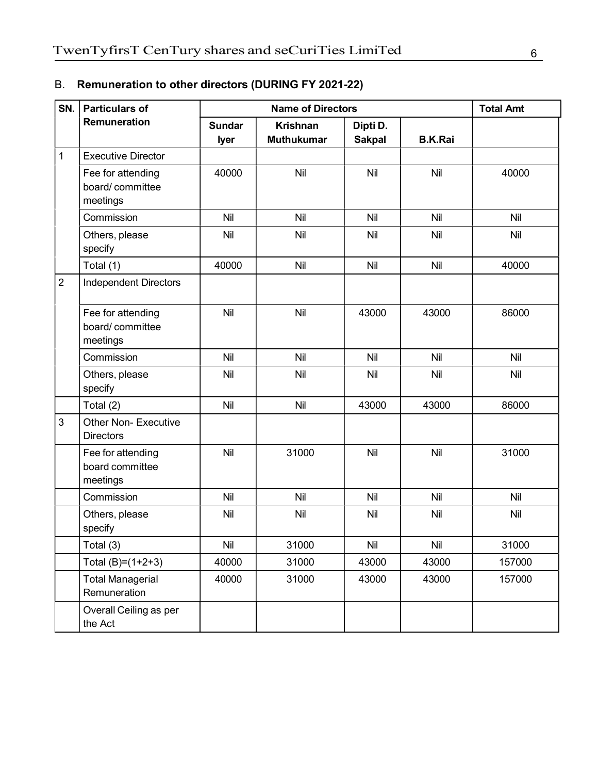| SN.            | <b>Particulars of</b>                            |                       | <b>Total Amt</b>                     |                           |                |        |
|----------------|--------------------------------------------------|-----------------------|--------------------------------------|---------------------------|----------------|--------|
|                | Remuneration                                     | <b>Sundar</b><br>lyer | <b>Krishnan</b><br><b>Muthukumar</b> | Dipti D.<br><b>Sakpal</b> | <b>B.K.Rai</b> |        |
| $\mathbf 1$    | <b>Executive Director</b>                        |                       |                                      |                           |                |        |
|                | Fee for attending<br>board/committee<br>meetings | 40000                 | Nil                                  | Nil                       | Nil            | 40000  |
|                | Commission                                       | Nil                   | Nil                                  | Nil                       | Nil            | Nil    |
|                | Others, please<br>specify                        | Nil                   | Nil                                  | Nil                       | Nil            | Nil    |
|                | Total (1)                                        | 40000                 | Nil                                  | Nil                       | Nil            | 40000  |
| $\overline{2}$ | <b>Independent Directors</b>                     |                       |                                      |                           |                |        |
|                | Fee for attending<br>board/committee<br>meetings | Nil                   | Nil                                  | 43000                     | 43000          | 86000  |
|                | Commission                                       | Nil                   | Nil                                  | Nil                       | Nil            | Nil    |
|                | Others, please<br>specify                        | Nil                   | Nil                                  | Nil                       | Nil            | Nil    |
|                | Total (2)                                        | Nil                   | Nil                                  | 43000                     | 43000          | 86000  |
| 3              | <b>Other Non- Executive</b><br><b>Directors</b>  |                       |                                      |                           |                |        |
|                | Fee for attending<br>board committee<br>meetings | Nil                   | 31000                                | Nil                       | Nil            | 31000  |
|                | Commission                                       | Nil                   | Nil                                  | Nil                       | Nil            | Nil    |
|                | Others, please<br>specify                        | Nil                   | Nil                                  | Nil                       | Nil            | Nil    |
|                | Total (3)                                        | Nil                   | 31000                                | <b>Nil</b>                | Nil            | 31000  |
|                | Total $(B)=(1+2+3)$                              | 40000                 | 31000                                | 43000                     | 43000          | 157000 |
|                | <b>Total Managerial</b><br>Remuneration          | 40000                 | 31000                                | 43000                     | 43000          | 157000 |
|                | Overall Ceiling as per<br>the Act                |                       |                                      |                           |                |        |

## B. Remuneration to other directors (DURING FY 2021-22)